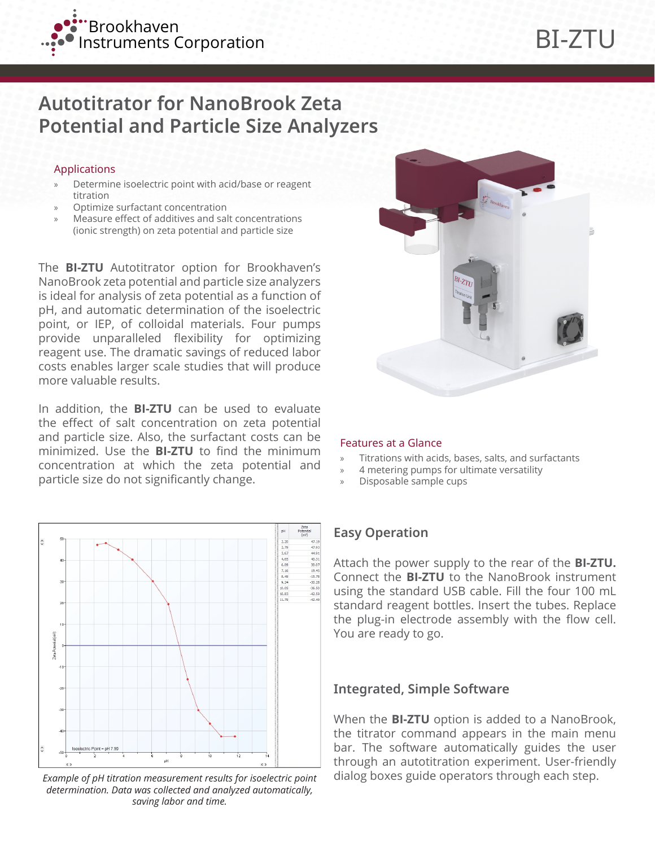

# **Autotitrator for NanoBrook Zeta Potential and Particle Size Analyzers**

#### Applications

- » Determine isoelectric point with acid/base or reagent titration
- » Optimize surfactant concentration
- » Measure effect of additives and salt concentrations (ionic strength) on zeta potential and particle size

The **BI-ZTU** Autotitrator option for Brookhaven's NanoBrook zeta potential and particle size analyzers is ideal for analysis of zeta potential as a function of pH, and automatic determination of the isoelectric point, or IEP, of colloidal materials. Four pumps provide unparalleled flexibility for optimizing reagent use. The dramatic savings of reduced labor costs enables larger scale studies that will produce more valuable results.

In addition, the **BI-ZTU** can be used to evaluate the effect of salt concentration on zeta potential and particle size. Also, the surfactant costs can be minimized. Use the **BI-ZTU** to find the minimum concentration at which the zeta potential and particle size do not significantly change.



*Example of pH titration measurement results for isoelectric point determination. Data was collected and analyzed automatically, saving labor and time.*



#### Features at a Glance

- » Titrations with acids, bases, salts, and surfactants
- » 4 metering pumps for ultimate versatility
- » Disposable sample cups

## **Easy Operation**

Attach the power supply to the rear of the **BI-ZTU.** Connect the **BI-ZTU** to the NanoBrook instrument using the standard USB cable. Fill the four 100 mL standard reagent bottles. Insert the tubes. Replace the plug-in electrode assembly with the flow cell. You are ready to go.

### **Integrated, Simple Software**

When the **BI-ZTU** option is added to a NanoBrook, the titrator command appears in the main menu bar. The software automatically guides the user through an autotitration experiment. User-friendly dialog boxes guide operators through each step.